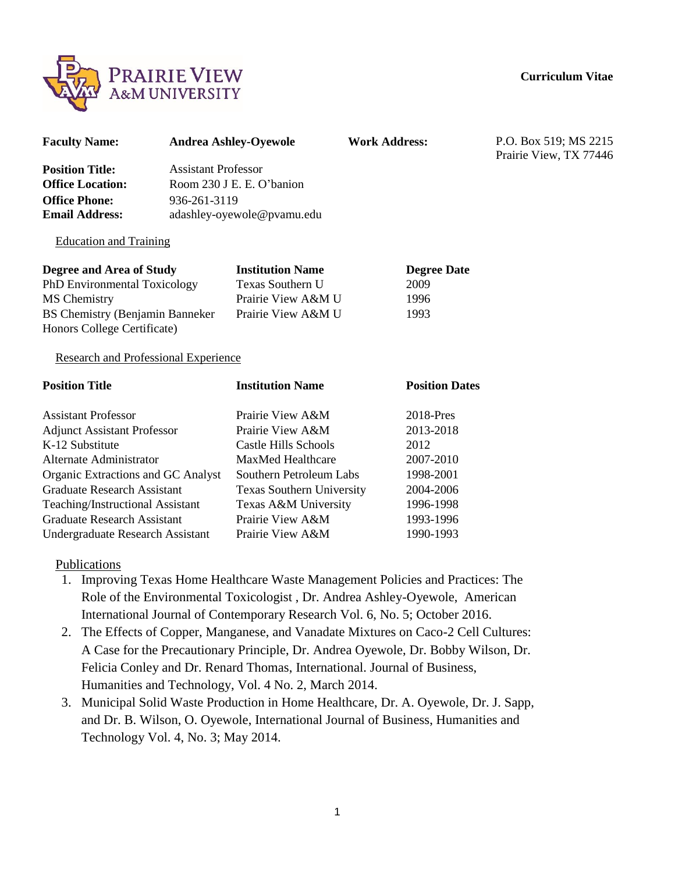

| <b>Faculty Name:</b>                                                                                                                               |                                                                                                       | <b>Andrea Ashley-Oyewole</b>                                                            | <b>Work Address:</b>                       | P.O. Box 519; MS 2215<br>Prairie View, TX 77446 |
|----------------------------------------------------------------------------------------------------------------------------------------------------|-------------------------------------------------------------------------------------------------------|-----------------------------------------------------------------------------------------|--------------------------------------------|-------------------------------------------------|
| <b>Position Title:</b><br><b>Office Location:</b><br><b>Office Phone:</b><br><b>Email Address:</b>                                                 | <b>Assistant Professor</b><br>Room 230 J E. E. O'banion<br>936-261-3119<br>adashley-oyewole@pvamu.edu |                                                                                         |                                            |                                                 |
| <b>Education and Training</b>                                                                                                                      |                                                                                                       |                                                                                         |                                            |                                                 |
| Degree and Area of Study<br>PhD Environmental Toxicology<br>MS Chemistry<br><b>BS Chemistry (Benjamin Banneker)</b><br>Honors College Certificate) |                                                                                                       | <b>Institution Name</b><br>Texas Southern U<br>Prairie View A&M U<br>Prairie View A&M U | <b>Degree Date</b><br>2009<br>1996<br>1993 |                                                 |
| <b>Research and Professional Experience</b>                                                                                                        |                                                                                                       |                                                                                         |                                            |                                                 |
| <b>Position Title</b>                                                                                                                              |                                                                                                       | <b>Institution Name</b>                                                                 | <b>Position Dates</b>                      |                                                 |
| <b>Assistant Professor</b><br><b>Adjunct Assistant Professor</b>                                                                                   |                                                                                                       | Prairie View A&M<br>Prairie View A&M                                                    | 2018-Pres<br>2013-2018                     |                                                 |
| K-12 Substitute<br>Alternate Administrator                                                                                                         |                                                                                                       | <b>Castle Hills Schools</b><br>MaxMed Healthcare                                        | 2012<br>2007-2010                          |                                                 |

1998-2001

2004-2006 1996-1998 1993-1996 1990-1993

| Alternate Administrator            | MaxMed Healthcare         |
|------------------------------------|---------------------------|
| Organic Extractions and GC Analyst | Southern Petroleum Labs   |
| <b>Graduate Research Assistant</b> | Texas Southern University |
| Teaching/Instructional Assistant   | Texas A&M University      |
| <b>Graduate Research Assistant</b> | Prairie View A&M          |
| Undergraduate Research Assistant   | Prairie View A&M          |
|                                    |                           |

Publications

- 1. Improving Texas Home Healthcare Waste Management Policies and Practices: The Role of the Environmental Toxicologist , Dr. Andrea Ashley-Oyewole, American International Journal of Contemporary Research Vol. 6, No. 5; October 2016.
- 2. The Effects of Copper, Manganese, and Vanadate Mixtures on Caco-2 Cell Cultures: A Case for the Precautionary Principle, Dr. Andrea Oyewole, Dr. Bobby Wilson, Dr. Felicia Conley and Dr. Renard Thomas, International. Journal of Business, Humanities and Technology, Vol. 4 No. 2, March 2014.
- 3. Municipal Solid Waste Production in Home Healthcare, Dr. A. Oyewole, Dr. J. Sapp, and Dr. B. Wilson, O. Oyewole, International Journal of Business, Humanities and Technology Vol. 4, No. 3; May 2014.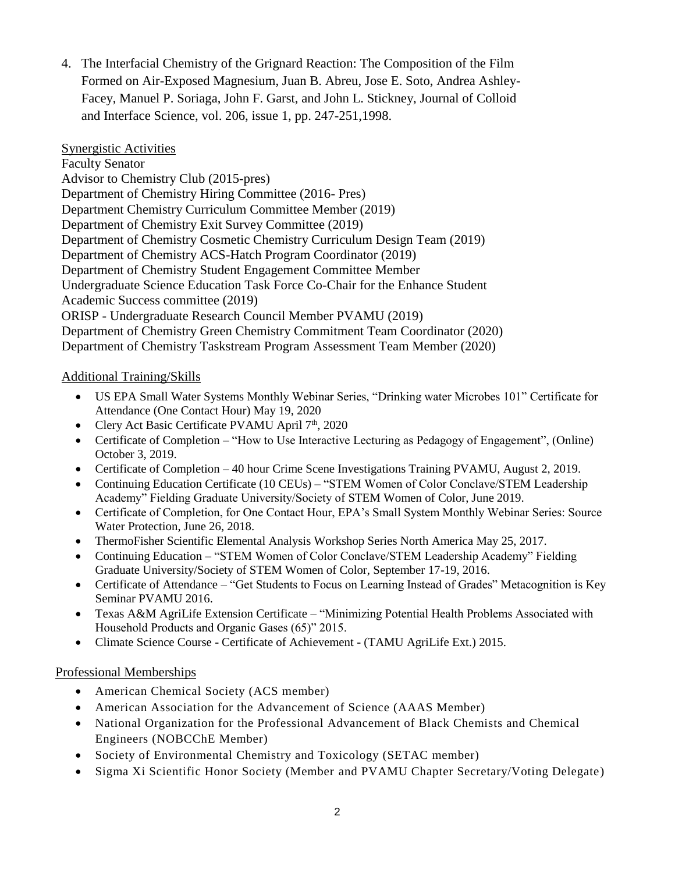4. The Interfacial Chemistry of the Grignard Reaction: The Composition of the Film Formed on Air-Exposed Magnesium, Juan B. Abreu, Jose E. Soto, Andrea Ashley-Facey, Manuel P. Soriaga, John F. Garst, and John L. Stickney, Journal of Colloid and Interface Science, vol. 206, issue 1, pp. 247-251,1998.

Synergistic Activities Faculty Senator Advisor to Chemistry Club (2015-pres) Department of Chemistry Hiring Committee (2016- Pres) Department Chemistry Curriculum Committee Member (2019) Department of Chemistry Exit Survey Committee (2019) Department of Chemistry Cosmetic Chemistry Curriculum Design Team (2019) Department of Chemistry ACS-Hatch Program Coordinator (2019) Department of Chemistry Student Engagement Committee Member Undergraduate Science Education Task Force Co-Chair for the Enhance Student Academic Success committee (2019) ORISP - Undergraduate Research Council Member PVAMU (2019) Department of Chemistry Green Chemistry Commitment Team Coordinator (2020) Department of Chemistry Taskstream Program Assessment Team Member (2020)

## Additional Training/Skills

- US EPA Small Water Systems Monthly Webinar Series, "Drinking water Microbes 101" Certificate for Attendance (One Contact Hour) May 19, 2020
- Clery Act Basic Certificate PVAMU April  $7<sup>th</sup>$ , 2020
- Certificate of Completion "How to Use Interactive Lecturing as Pedagogy of Engagement", (Online) October 3, 2019.
- Certificate of Completion 40 hour Crime Scene Investigations Training PVAMU, August 2, 2019.
- Continuing Education Certificate (10 CEUs) "STEM Women of Color Conclave/STEM Leadership Academy" Fielding Graduate University/Society of STEM Women of Color, June 2019.
- Certificate of Completion, for One Contact Hour, EPA's Small System Monthly Webinar Series: Source Water Protection, June 26, 2018.
- ThermoFisher Scientific Elemental Analysis Workshop Series North America May 25, 2017.
- Continuing Education "STEM Women of Color Conclave/STEM Leadership Academy" Fielding Graduate University/Society of STEM Women of Color, September 17-19, 2016.
- Certificate of Attendance "Get Students to Focus on Learning Instead of Grades" Metacognition is Key Seminar PVAMU 2016.
- Texas A&M AgriLife Extension Certificate "Minimizing Potential Health Problems Associated with Household Products and Organic Gases (65)" 2015.
- Climate Science Course Certificate of Achievement (TAMU AgriLife Ext.) 2015.

## Professional Memberships

- American Chemical Society (ACS member)
- American Association for the Advancement of Science (AAAS Member)
- National Organization for the Professional Advancement of Black Chemists and Chemical Engineers (NOBCChE Member)
- Society of Environmental Chemistry and Toxicology (SETAC member)
- Sigma Xi Scientific Honor Society (Member and PVAMU Chapter Secretary/Voting Delegate)